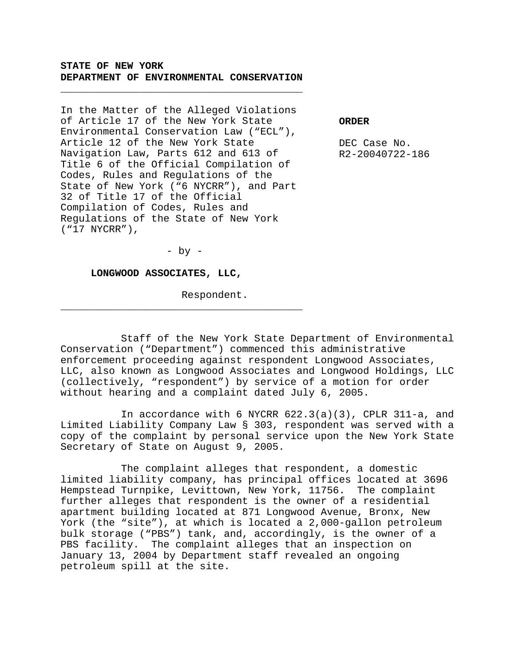**STATE OF NEW YORK DEPARTMENT OF ENVIRONMENTAL CONSERVATION**

\_\_\_\_\_\_\_\_\_\_\_\_\_\_\_\_\_\_\_\_\_\_\_\_\_\_\_\_\_\_\_\_\_\_\_\_\_\_\_\_

In the Matter of the Alleged Violations of Article 17 of the New York State Environmental Conservation Law ("ECL"), Article 12 of the New York State Navigation Law, Parts 612 and 613 of Title 6 of the Official Compilation of Codes, Rules and Regulations of the State of New York ("6 NYCRR"), and Part 32 of Title 17 of the Official Compilation of Codes, Rules and Regulations of the State of New York ("17 NYCRR"),

**ORDER**

DEC Case No. R2-20040722-186

 $-$  by  $-$ 

\_\_\_\_\_\_\_\_\_\_\_\_\_\_\_\_\_\_\_\_\_\_\_\_\_\_\_\_\_\_\_\_\_\_\_\_\_\_\_\_

**LONGWOOD ASSOCIATES, LLC,**

Respondent.

Staff of the New York State Department of Environmental Conservation ("Department") commenced this administrative enforcement proceeding against respondent Longwood Associates, LLC, also known as Longwood Associates and Longwood Holdings, LLC (collectively, "respondent") by service of a motion for order without hearing and a complaint dated July 6, 2005.

In accordance with 6 NYCRR 622.3(a)(3), CPLR 311-a, and Limited Liability Company Law § 303, respondent was served with a copy of the complaint by personal service upon the New York State Secretary of State on August 9, 2005.

The complaint alleges that respondent, a domestic limited liability company, has principal offices located at 3696 Hempstead Turnpike, Levittown, New York, 11756. The complaint further alleges that respondent is the owner of a residential apartment building located at 871 Longwood Avenue, Bronx, New York (the "site"), at which is located a 2,000-gallon petroleum bulk storage ("PBS") tank, and, accordingly, is the owner of a PBS facility. The complaint alleges that an inspection on January 13, 2004 by Department staff revealed an ongoing petroleum spill at the site.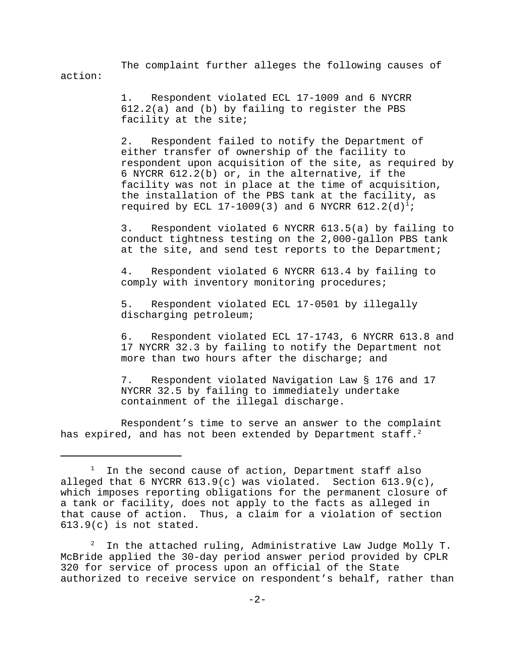The complaint further alleges the following causes of action:

> 1. Respondent violated ECL 17-1009 and 6 NYCRR 612.2(a) and (b) by failing to register the PBS facility at the site;

2. Respondent failed to notify the Department of either transfer of ownership of the facility to respondent upon acquisition of the site, as required by 6 NYCRR 612.2(b) or, in the alternative, if the facility was not in place at the time of acquisition, the installation of the PBS tank at the facility, as required by ECL 17-1009(3) and 6 NYCRR  $612.2(d)^1$ ;

3. Respondent violated 6 NYCRR 613.5(a) by failing to conduct tightness testing on the 2,000-gallon PBS tank at the site, and send test reports to the Department;

4. Respondent violated 6 NYCRR 613.4 by failing to comply with inventory monitoring procedures;

5. Respondent violated ECL 17-0501 by illegally discharging petroleum;

6. Respondent violated ECL 17-1743, 6 NYCRR 613.8 and 17 NYCRR 32.3 by failing to notify the Department not more than two hours after the discharge; and

7. Respondent violated Navigation Law § 176 and 17 NYCRR 32.5 by failing to immediately undertake containment of the illegal discharge.

Respondent's time to serve an answer to the complaint has expired, and has not been extended by Department staff.<sup>2</sup>

<sup>1</sup> In the second cause of action, Department staff also alleged that 6 NYCRR  $613.9(c)$  was violated. Section  $613.9(c)$ , which imposes reporting obligations for the permanent closure of a tank or facility, does not apply to the facts as alleged in that cause of action. Thus, a claim for a violation of section 613.9(c) is not stated.

 $2$  In the attached ruling, Administrative Law Judge Molly T. McBride applied the 30-day period answer period provided by CPLR 320 for service of process upon an official of the State authorized to receive service on respondent's behalf, rather than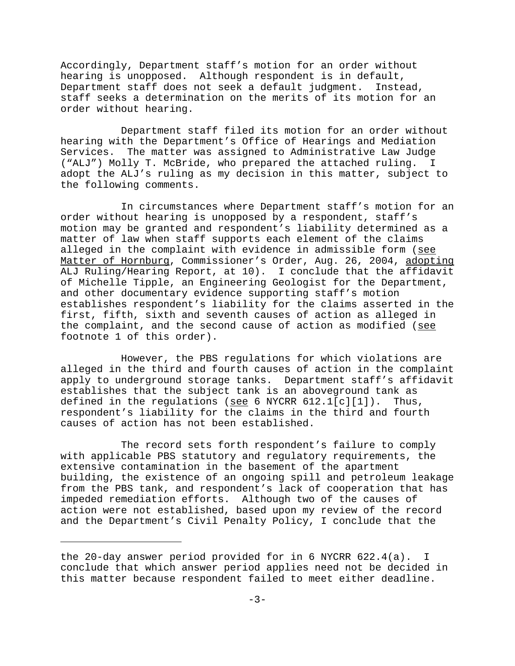Accordingly, Department staff's motion for an order without hearing is unopposed. Although respondent is in default, Department staff does not seek a default judgment. Instead, staff seeks a determination on the merits of its motion for an order without hearing.

Department staff filed its motion for an order without hearing with the Department's Office of Hearings and Mediation Services. The matter was assigned to Administrative Law Judge ("ALJ") Molly T. McBride, who prepared the attached ruling. I adopt the ALJ's ruling as my decision in this matter, subject to the following comments.

In circumstances where Department staff's motion for an order without hearing is unopposed by a respondent, staff's motion may be granted and respondent's liability determined as a matter of law when staff supports each element of the claims alleged in the complaint with evidence in admissible form (see Matter of Hornburg, Commissioner's Order, Aug. 26, 2004, adopting ALJ Ruling/Hearing Report, at 10). I conclude that the affidavit of Michelle Tipple, an Engineering Geologist for the Department, and other documentary evidence supporting staff's motion establishes respondent's liability for the claims asserted in the first, fifth, sixth and seventh causes of action as alleged in the complaint, and the second cause of action as modified (see footnote 1 of this order).

However, the PBS regulations for which violations are alleged in the third and fourth causes of action in the complaint apply to underground storage tanks. Department staff's affidavit establishes that the subject tank is an aboveground tank as defined in the regulations (see 6 NYCRR  $612.1[c][1])$ . Thus, respondent's liability for the claims in the third and fourth causes of action has not been established.

The record sets forth respondent's failure to comply with applicable PBS statutory and regulatory requirements, the extensive contamination in the basement of the apartment building, the existence of an ongoing spill and petroleum leakage from the PBS tank, and respondent's lack of cooperation that has impeded remediation efforts. Although two of the causes of action were not established, based upon my review of the record and the Department's Civil Penalty Policy, I conclude that the

the 20-day answer period provided for in 6 NYCRR 622.4(a). I conclude that which answer period applies need not be decided in this matter because respondent failed to meet either deadline.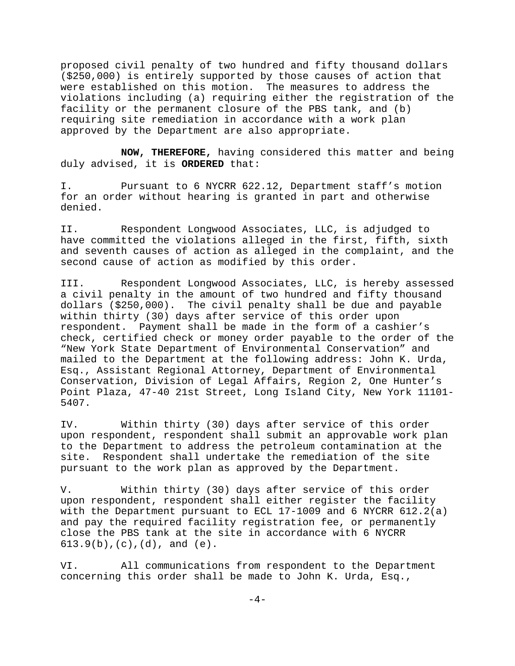proposed civil penalty of two hundred and fifty thousand dollars (\$250,000) is entirely supported by those causes of action that were established on this motion. The measures to address the violations including (a) requiring either the registration of the facility or the permanent closure of the PBS tank, and (b) requiring site remediation in accordance with a work plan approved by the Department are also appropriate.

**NOW, THEREFORE,** having considered this matter and being duly advised, it is **ORDERED** that:

I. Pursuant to 6 NYCRR 622.12, Department staff's motion for an order without hearing is granted in part and otherwise denied.

II. Respondent Longwood Associates, LLC, is adjudged to have committed the violations alleged in the first, fifth, sixth and seventh causes of action as alleged in the complaint, and the second cause of action as modified by this order.

III. Respondent Longwood Associates, LLC, is hereby assessed a civil penalty in the amount of two hundred and fifty thousand dollars (\$250,000). The civil penalty shall be due and payable within thirty (30) days after service of this order upon respondent. Payment shall be made in the form of a cashier's check, certified check or money order payable to the order of the "New York State Department of Environmental Conservation" and mailed to the Department at the following address: John K. Urda, Esq., Assistant Regional Attorney, Department of Environmental Conservation, Division of Legal Affairs, Region 2, One Hunter's Point Plaza, 47-40 21st Street, Long Island City, New York 11101- 5407.

IV. Within thirty (30) days after service of this order upon respondent, respondent shall submit an approvable work plan to the Department to address the petroleum contamination at the site. Respondent shall undertake the remediation of the site pursuant to the work plan as approved by the Department.

V. Within thirty (30) days after service of this order upon respondent, respondent shall either register the facility with the Department pursuant to ECL 17-1009 and 6 NYCRR 612.2(a) and pay the required facility registration fee, or permanently close the PBS tank at the site in accordance with 6 NYCRR 613.9(b),(c),(d), and (e).

VI. All communications from respondent to the Department concerning this order shall be made to John K. Urda, Esq.,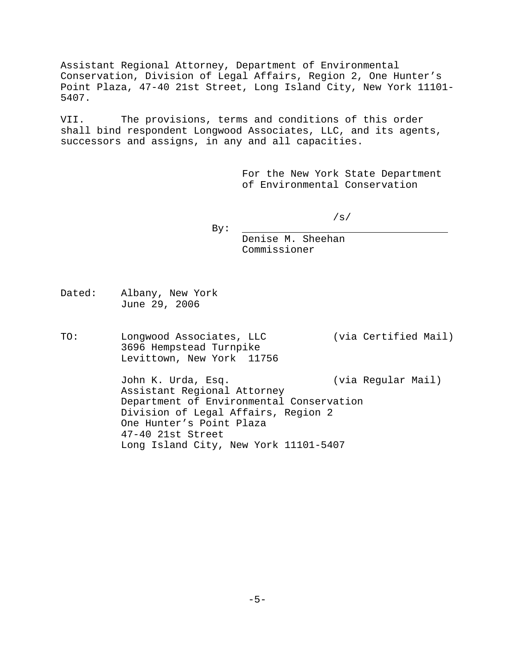Assistant Regional Attorney, Department of Environmental Conservation, Division of Legal Affairs, Region 2, One Hunter's Point Plaza, 47-40 21st Street, Long Island City, New York 11101- 5407.

VII. The provisions, terms and conditions of this order shall bind respondent Longwood Associates, LLC, and its agents, successors and assigns, in any and all capacities.

> For the New York State Department of Environmental Conservation

> > /s/

By:

Denise M. Sheehan Commissioner

- Dated: Albany, New York June 29, 2006
- TO: Longwood Associates, LLC (via Certified Mail) 3696 Hempstead Turnpike Levittown, New York 11756

John K. Urda, Esq. (via Regular Mail) Assistant Regional Attorney Department of Environmental Conservation Division of Legal Affairs, Region 2 One Hunter's Point Plaza 47-40 21st Street Long Island City, New York 11101-5407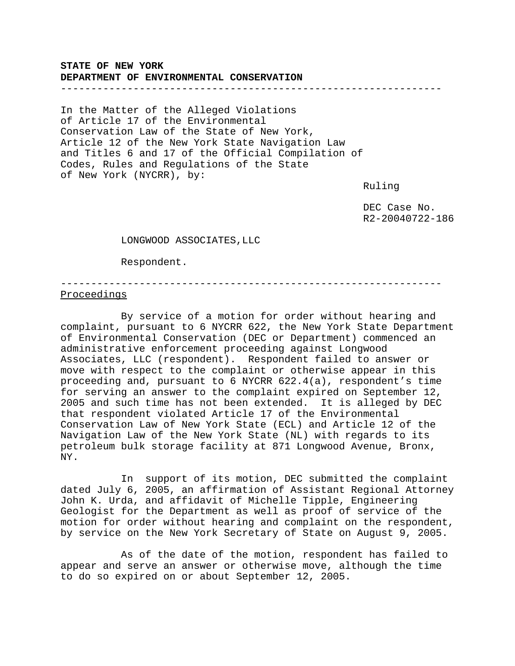## **STATE OF NEW YORK DEPARTMENT OF ENVIRONMENTAL CONSERVATION**

#### ---------------------------------------------------------------

In the Matter of the Alleged Violations of Article 17 of the Environmental Conservation Law of the State of New York, Article 12 of the New York State Navigation Law and Titles 6 and 17 of the Official Compilation of Codes, Rules and Regulations of the State of New York (NYCRR), by:

Ruling

 DEC Case No. R2-20040722-186

LONGWOOD ASSOCIATES,LLC

Respondent.

#### --------------------------------------------------------------- Proceedings

By service of a motion for order without hearing and complaint, pursuant to 6 NYCRR 622, the New York State Department of Environmental Conservation (DEC or Department) commenced an administrative enforcement proceeding against Longwood Associates, LLC (respondent). Respondent failed to answer or move with respect to the complaint or otherwise appear in this proceeding and, pursuant to 6 NYCRR 622.4(a), respondent's time for serving an answer to the complaint expired on September 12, 2005 and such time has not been extended. It is alleged by DEC that respondent violated Article 17 of the Environmental Conservation Law of New York State (ECL) and Article 12 of the Navigation Law of the New York State (NL) with regards to its petroleum bulk storage facility at 871 Longwood Avenue, Bronx, NY.

In support of its motion, DEC submitted the complaint dated July 6, 2005, an affirmation of Assistant Regional Attorney John K. Urda, and affidavit of Michelle Tipple, Engineering Geologist for the Department as well as proof of service of the motion for order without hearing and complaint on the respondent, by service on the New York Secretary of State on August 9, 2005.

As of the date of the motion, respondent has failed to appear and serve an answer or otherwise move, although the time to do so expired on or about September 12, 2005.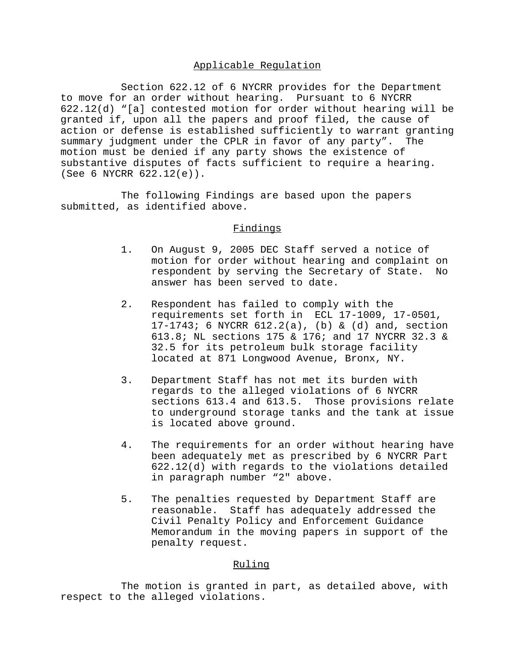## Applicable Regulation

Section 622.12 of 6 NYCRR provides for the Department to move for an order without hearing. Pursuant to 6 NYCRR 622.12(d) "[a] contested motion for order without hearing will be granted if, upon all the papers and proof filed, the cause of action or defense is established sufficiently to warrant granting summary judgment under the CPLR in favor of any party". The motion must be denied if any party shows the existence of substantive disputes of facts sufficient to require a hearing. (See 6 NYCRR 622.12(e)).

The following Findings are based upon the papers submitted, as identified above.

#### Findings

- 1. On August 9, 2005 DEC Staff served a notice of motion for order without hearing and complaint on respondent by serving the Secretary of State. No answer has been served to date.
- 2. Respondent has failed to comply with the requirements set forth in ECL 17-1009, 17-0501, 17-1743; 6 NYCRR 612.2(a), (b) & (d) and, section 613.8; NL sections 175 & 176; and 17 NYCRR 32.3 & 32.5 for its petroleum bulk storage facility located at 871 Longwood Avenue, Bronx, NY.
- 3. Department Staff has not met its burden with regards to the alleged violations of 6 NYCRR sections 613.4 and 613.5. Those provisions relate to underground storage tanks and the tank at issue is located above ground.
- 4. The requirements for an order without hearing have been adequately met as prescribed by 6 NYCRR Part 622.12(d) with regards to the violations detailed in paragraph number "2" above.
- 5. The penalties requested by Department Staff are reasonable. Staff has adequately addressed the Civil Penalty Policy and Enforcement Guidance Memorandum in the moving papers in support of the penalty request.

## Ruling

 The motion is granted in part, as detailed above, with respect to the alleged violations.